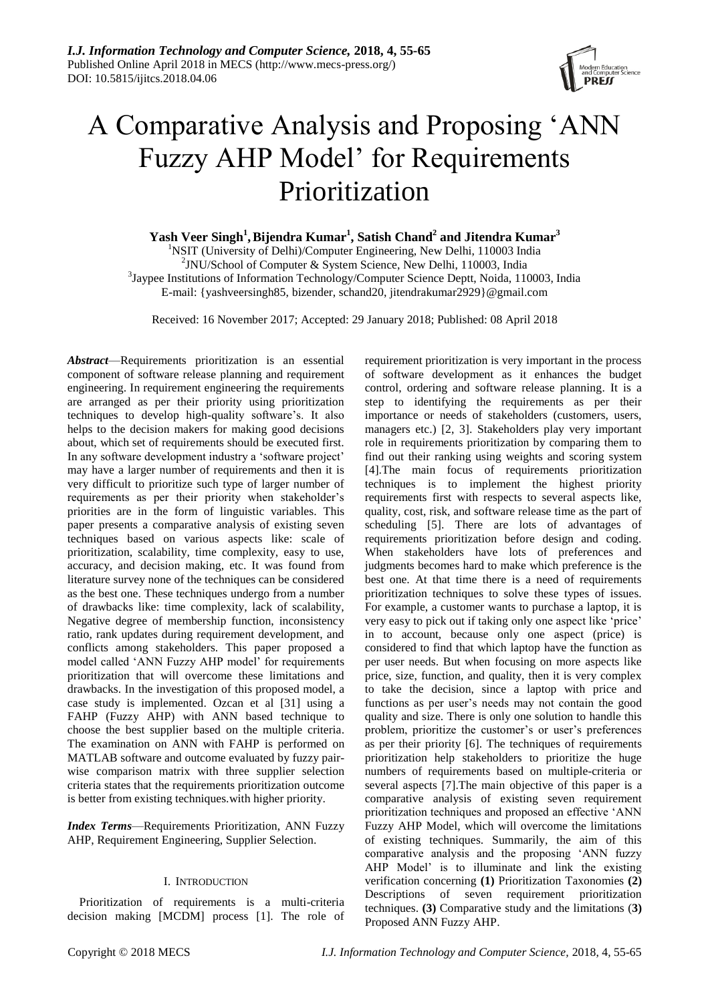

# A Comparative Analysis and Proposing 'ANN Fuzzy AHP Model' for Requirements Prioritization

 $\boldsymbol{\mathrm{Y}}$ ash Veer Singh $^1$ , Bijendra Kumar $^1$ , Satish Chand $^2$  and Jitendra Kumar $^3$ 

<sup>1</sup>NSIT (University of Delhi)/Computer Engineering, New Delhi, 110003 India 2 JNU/School of Computer & System Science, New Delhi, 110003, India <sup>3</sup>Jaypee Institutions of Information Technology/Computer Science Deptt, Noida, 110003, India E-mail: {yashveersingh85, bizender, [schand20,](mailto:schand20) [jitendrakumar2929}@gmail.com](mailto:jitendrakumar2929%7d@gmail.com)

Received: 16 November 2017; Accepted: 29 January 2018; Published: 08 April 2018

*Abstract*—Requirements prioritization is an essential component of software release planning and requirement engineering. In requirement engineering the requirements are arranged as per their priority using prioritization techniques to develop high-quality software's. It also helps to the decision makers for making good decisions about, which set of requirements should be executed first. In any software development industry a 'software project' may have a larger number of requirements and then it is very difficult to prioritize such type of larger number of requirements as per their priority when stakeholder's priorities are in the form of linguistic variables. This paper presents a comparative analysis of existing seven techniques based on various aspects like: scale of prioritization, scalability, time complexity, easy to use, accuracy, and decision making, etc. It was found from literature survey none of the techniques can be considered as the best one. These techniques undergo from a number of drawbacks like: time complexity, lack of scalability, Negative degree of membership function, inconsistency ratio, rank updates during requirement development, and conflicts among stakeholders. This paper proposed a model called 'ANN Fuzzy AHP model' for requirements prioritization that will overcome these limitations and drawbacks. In the investigation of this proposed model, a case study is implemented. Ozcan et al [31] using a FAHP (Fuzzy AHP) with ANN based technique to choose the best supplier based on the multiple criteria. The examination on ANN with FAHP is performed on MATLAB software and outcome evaluated by fuzzy pairwise comparison matrix with three supplier selection criteria states that the requirements prioritization outcome is better from existing techniques.with higher priority.

*Index Terms*—Requirements Prioritization, ANN Fuzzy AHP, Requirement Engineering, Supplier Selection.

# I. INTRODUCTION

Prioritization of requirements is a multi-criteria decision making [MCDM] process [1]. The role of requirement prioritization is very important in the process of software development as it enhances the budget control, ordering and software release planning. It is a step to identifying the requirements as per their importance or needs of stakeholders (customers, users, managers etc.) [2, 3]. Stakeholders play very important role in requirements prioritization by comparing them to find out their ranking using weights and scoring system [4].The main focus of requirements prioritization techniques is to implement the highest priority requirements first with respects to several aspects like, quality, cost, risk, and software release time as the part of scheduling [5]. There are lots of advantages of requirements prioritization before design and coding. When stakeholders have lots of preferences and judgments becomes hard to make which preference is the best one. At that time there is a need of requirements prioritization techniques to solve these types of issues. For example, a customer wants to purchase a laptop, it is very easy to pick out if taking only one aspect like 'price' in to account, because only one aspect (price) is considered to find that which laptop have the function as per user needs. But when focusing on more aspects like price, size, function, and quality, then it is very complex to take the decision, since a laptop with price and functions as per user's needs may not contain the good quality and size. There is only one solution to handle this problem, prioritize the customer's or user's preferences as per their priority [6]. The techniques of requirements prioritization help stakeholders to prioritize the huge numbers of requirements based on multiple-criteria or several aspects [7].The main objective of this paper is a comparative analysis of existing seven requirement prioritization techniques and proposed an effective 'ANN Fuzzy AHP Model, which will overcome the limitations of existing techniques. Summarily, the aim of this comparative analysis and the proposing 'ANN fuzzy AHP Model' is to illuminate and link the existing verification concerning **(1)** Prioritization Taxonomies **(2)** Descriptions of seven requirement prioritization techniques. **(3)** Comparative study and the limitations (**3)** Proposed ANN Fuzzy AHP.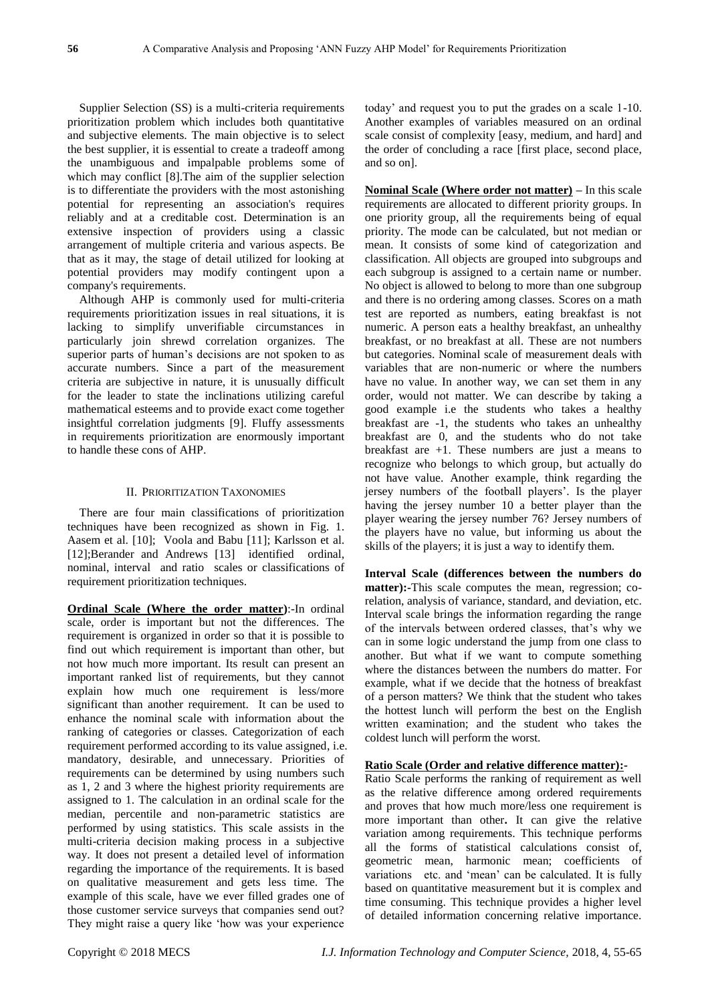Supplier Selection (SS) is a multi-criteria requirements prioritization problem which includes both quantitative and subjective elements. The main objective is to select the best supplier, it is essential to create a tradeoff among the unambiguous and impalpable problems some of which may conflict [8].The aim of the supplier selection is to differentiate the providers with the most astonishing potential for representing an association's requires reliably and at a creditable cost. Determination is an extensive inspection of providers using a classic arrangement of multiple criteria and various aspects. Be that as it may, the stage of detail utilized for looking at potential providers may modify contingent upon a company's requirements.

Although AHP is commonly used for multi-criteria requirements prioritization issues in real situations, it is lacking to simplify unverifiable circumstances in particularly join shrewd correlation organizes. The superior parts of human's decisions are not spoken to as accurate numbers. Since a part of the measurement criteria are subjective in nature, it is unusually difficult for the leader to state the inclinations utilizing careful mathematical esteems and to provide exact come together insightful correlation judgments [9]. Fluffy assessments in requirements prioritization are enormously important to handle these cons of AHP.

## II. PRIORITIZATION TAXONOMIES

There are four main classifications of prioritization techniques have been recognized as shown in Fig. 1. Aasem et al. [10]; Voola and Babu [11]; Karlsson et al. [12];Berander and Andrews [13] identified ordinal, nominal, interval and ratio scales or classifications of requirement prioritization techniques.

**Ordinal Scale (Where the order matter)**:-In ordinal scale, order is important but not the differences. The requirement is organized in order so that it is possible to find out which requirement is important than other, but not how much more important. Its result can present an important ranked list of requirements, but they cannot explain how much one requirement is less/more significant than another requirement. It can be used to enhance the nominal scale with information about the ranking of categories or classes. Categorization of each requirement performed according to its value assigned, i.e. mandatory, desirable, and unnecessary. Priorities of requirements can be determined by using numbers such as 1, 2 and 3 where the highest priority requirements are assigned to 1. The calculation in an ordinal scale for the median, percentile and non-parametric statistics are performed by using statistics. This scale assists in the multi-criteria decision making process in a subjective way. It does not present a detailed level of information regarding the importance of the requirements. It is based on qualitative measurement and gets less time. The example of this scale, have we ever filled grades one of those customer service surveys that companies send out? They might raise a query like 'how was your experience

today' and request you to put the grades on a scale 1-10. Another examples of variables measured on an ordinal scale consist of complexity [easy, medium, and hard] and the order of concluding a race [first place, second place, and so on].

**Nominal Scale (Where order not matter) –** In this scale requirements are allocated to different priority groups. In one priority group, all the requirements being of equal priority. The mode can be calculated, but not median or mean. It consists of some kind of categorization and classification. All objects are grouped into subgroups and each subgroup is assigned to a certain name or number. No object is allowed to belong to more than one subgroup and there is no ordering among classes. Scores on a math test are reported as numbers, eating breakfast is not numeric. A person eats a healthy breakfast, an unhealthy breakfast, or no breakfast at all. These are not numbers but categories. Nominal scale of measurement deals with variables that are non-numeric or where the numbers have no value. In another way, we can set them in any order, would not matter. We can describe by taking a good example i.e the students who takes a healthy breakfast are -1, the students who takes an unhealthy breakfast are 0, and the students who do not take breakfast are  $+1$ . These numbers are just a means to recognize who belongs to which group, but actually do not have value. Another example, think regarding the jersey numbers of the football players'. Is the player having the jersey number 10 a better player than the player wearing the jersey number 76? Jersey numbers of the players have no value, but informing us about the skills of the players; it is just a way to identify them.

**Interval Scale (differences between the numbers do matter):-**This scale computes the mean, regression; corelation, analysis of variance, standard, and deviation, etc. Interval scale brings the information regarding the range of the intervals between ordered classes, that's why we can in some logic understand the jump from one class to another. But what if we want to compute something where the distances between the numbers do matter. For example, what if we decide that the hotness of breakfast of a person matters? We think that the student who takes the hottest lunch will perform the best on the English written examination; and the student who takes the coldest lunch will perform the worst.

## **Ratio Scale (Order and relative difference matter):-**

Ratio Scale performs the ranking of requirement as well as the relative difference among ordered requirements and proves that how much more/less one requirement is more important than other**.** It can give the relative variation among requirements. This technique performs all the forms of statistical calculations consist of, geometric mean, harmonic mean; coefficients of variations etc. and 'mean' can be calculated. It is fully based on quantitative measurement but it is complex and time consuming. This technique provides a higher level of detailed information concerning relative importance.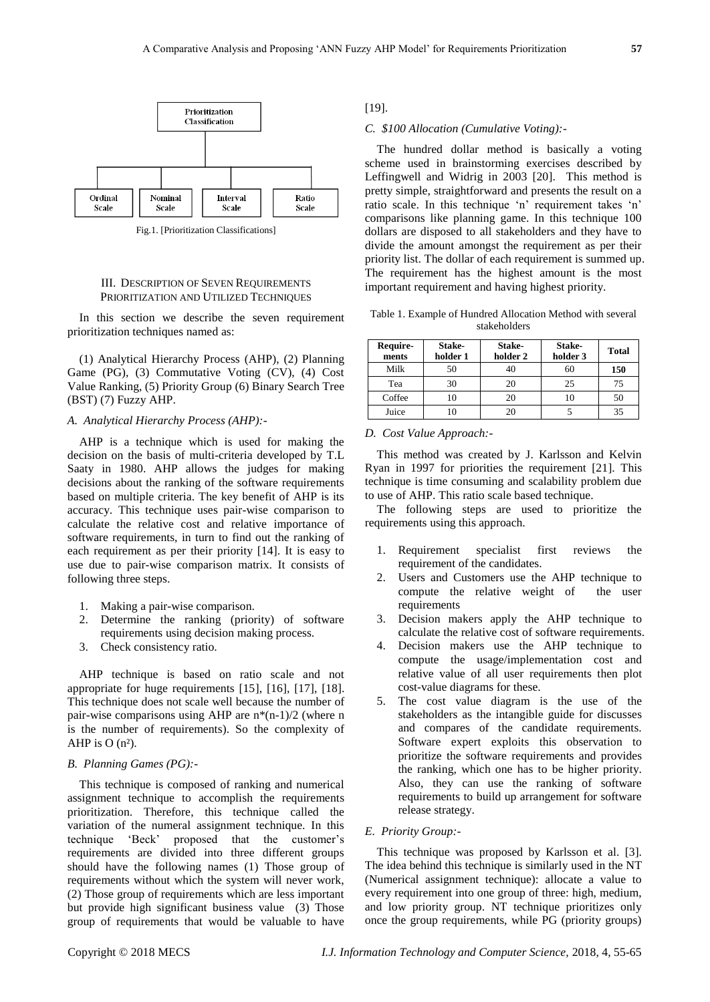

Fig.1. [Prioritization Classifications]

#### III. DESCRIPTION OF SEVEN REQUIREMENTS PRIORITIZATION AND UTILIZED TECHNIQUES

In this section we describe the seven requirement prioritization techniques named as:

(1) Analytical Hierarchy Process (AHP), (2) Planning Game (PG), (3) Commutative Voting (CV), (4) Cost Value Ranking, (5) Priority Group (6) Binary Search Tree (BST) (7) Fuzzy AHP.

## *A. Analytical Hierarchy Process (AHP):-*

AHP is a technique which is used for making the decision on the basis of multi-criteria developed by T.L Saaty in 1980. AHP allows the judges for making decisions about the ranking of the software requirements based on multiple criteria. The key benefit of AHP is its accuracy. This technique uses pair-wise comparison to calculate the relative cost and relative importance of software requirements, in turn to find out the ranking of each requirement as per their priority [14]. It is easy to use due to pair-wise comparison matrix. It consists of following three steps.

- 1. Making a pair-wise comparison.
- 2. Determine the ranking (priority) of software requirements using decision making process.
- 3. Check consistency ratio.

AHP technique is based on ratio scale and not appropriate for huge requirements [15], [16], [17], [18]. This technique does not scale well because the number of pair-wise comparisons using AHP are  $n*(n-1)/2$  (where n is the number of requirements). So the complexity of AHP is  $O(n<sub>3</sub>)$ .

## *B. Planning Games (PG):-*

This technique is composed of ranking and numerical assignment technique to accomplish the requirements prioritization. Therefore, this technique called the variation of the numeral assignment technique. In this technique 'Beck' proposed that the customer's requirements are divided into three different groups should have the following names (1) Those group of requirements without which the system will never work, (2) Those group of requirements which are less important but provide high significant business value (3) Those group of requirements that would be valuable to have

[19].

### *C. \$100 Allocation (Cumulative Voting):-*

The hundred dollar method is basically a voting scheme used in brainstorming exercises described by Leffingwell and Widrig in 2003 [20]. This method is pretty simple, straightforward and presents the result on a ratio scale. In this technique 'n' requirement takes 'n' comparisons like planning game. In this technique 100 dollars are disposed to all stakeholders and they have to divide the amount amongst the requirement as per their priority list. The dollar of each requirement is summed up. The requirement has the highest amount is the most important requirement and having highest priority.

Table 1. Example of Hundred Allocation Method with several stakeholders

| Require-<br>ments | Stake-<br>holder 1 | Stake-<br>holder 2 | Stake-<br>holder 3 | <b>Total</b> |
|-------------------|--------------------|--------------------|--------------------|--------------|
| Milk              | 50                 |                    |                    | 150          |
| Tea               | 30                 | 20                 | 25                 | 75           |
| Coffee            |                    |                    |                    | 50           |
| Juice             |                    |                    |                    | 35           |

#### *D. Cost Value Approach:-*

This method was created by J. Karlsson and Kelvin Ryan in 1997 for priorities the requirement [21]. This technique is time consuming and scalability problem due to use of AHP. This ratio scale based technique.

The following steps are used to prioritize the requirements using this approach.

- 1. Requirement specialist first reviews the requirement of the candidates.
- 2. Users and Customers use the AHP technique to compute the relative weight of the user requirements
- 3. Decision makers apply the AHP technique to calculate the relative cost of software requirements.
- 4. Decision makers use the AHP technique to compute the usage/implementation cost and relative value of all user requirements then plot cost-value diagrams for these.
- 5. The cost value diagram is the use of the stakeholders as the intangible guide for discusses and compares of the candidate requirements. Software expert exploits this observation to prioritize the software requirements and provides the ranking, which one has to be higher priority. Also, they can use the ranking of software requirements to build up arrangement for software release strategy.

#### *E. Priority Group:-*

This technique was proposed by Karlsson et al. [3]. The idea behind this technique is similarly used in the NT (Numerical assignment technique): allocate a value to every requirement into one group of three: high, medium, and low priority group. NT technique prioritizes only once the group requirements, while PG (priority groups)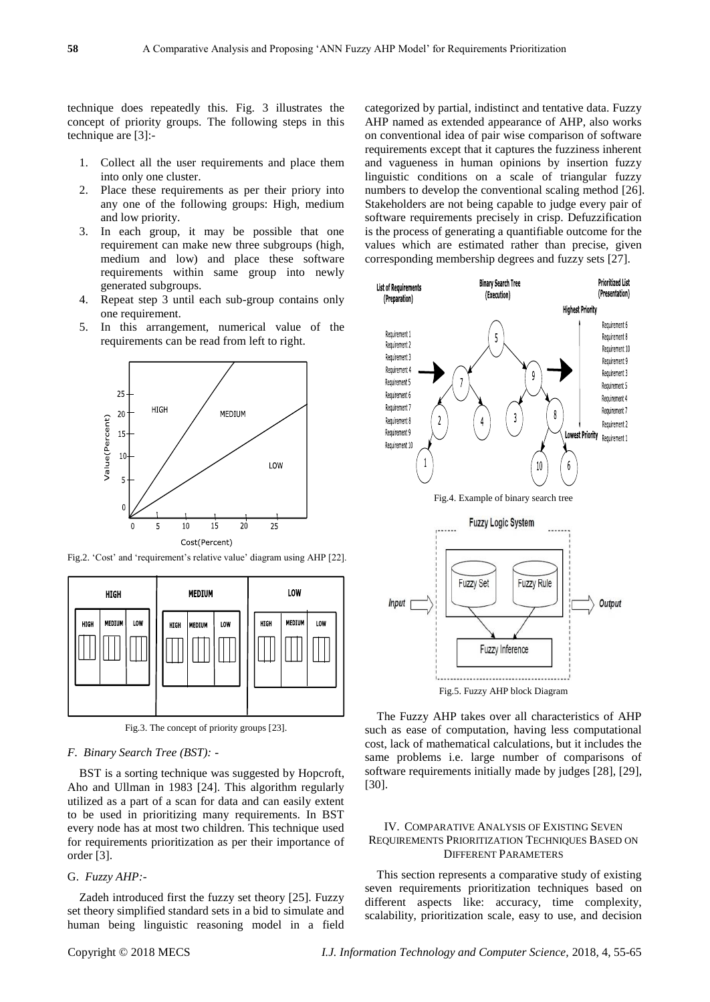technique does repeatedly this. Fig. 3 illustrates the concept of priority groups. The following steps in this technique are [3]:-

- 1. Collect all the user requirements and place them into only one cluster.
- Place these requirements as per their priory into any one of the following groups: High, medium and low priority.
- 3. In each group, it may be possible that one requirement can make new three subgroups (high, medium and low) and place these software requirements within same group into newly generated subgroups.
- 4. Repeat step 3 until each sub-group contains only one requirement.
- 5. In this arrangement, numerical value of the requirements can be read from left to right.



Fig.2. 'Cost' and 'requirement's relative value' diagram using AHP [22].



Fig.3. The concept of priority groups [23].

#### *F. Binary Search Tree (BST): -*

BST is a sorting technique was suggested by Hopcroft, Aho and Ullman in 1983 [24]. This algorithm regularly utilized as a part of a scan for data and can easily extent to be used in prioritizing many requirements. In BST every node has at most two children. This technique used for requirements prioritization as per their importance of order [3].

#### G. *Fuzzy AHP:-*

Zadeh introduced first the fuzzy set theory [25]. Fuzzy set theory simplified standard sets in a bid to simulate and human being linguistic reasoning model in a field categorized by partial, indistinct and tentative data. Fuzzy AHP named as extended appearance of AHP, also works on conventional idea of pair wise comparison of software requirements except that it captures the fuzziness inherent and vagueness in human opinions by insertion fuzzy linguistic conditions on a scale of triangular fuzzy numbers to develop the conventional scaling method [26]. Stakeholders are not being capable to judge every pair of software requirements precisely in crisp. Defuzzification is the process of generating a quantifiable outcome for the values which are estimated rather than precise, given corresponding membership degrees and fuzzy sets [27].



The Fuzzy AHP takes over all characteristics of AHP such as ease of computation, having less computational cost, lack of mathematical calculations, but it includes the same problems i.e. large number of comparisons of software requirements initially made by judges [28], [29], [30].

## IV. COMPARATIVE ANALYSIS OF EXISTING SEVEN REQUIREMENTS PRIORITIZATION TECHNIQUES BASED ON DIFFERENT PARAMETERS

This section represents a comparative study of existing seven requirements prioritization techniques based on different aspects like: accuracy, time complexity, scalability, prioritization scale, easy to use, and decision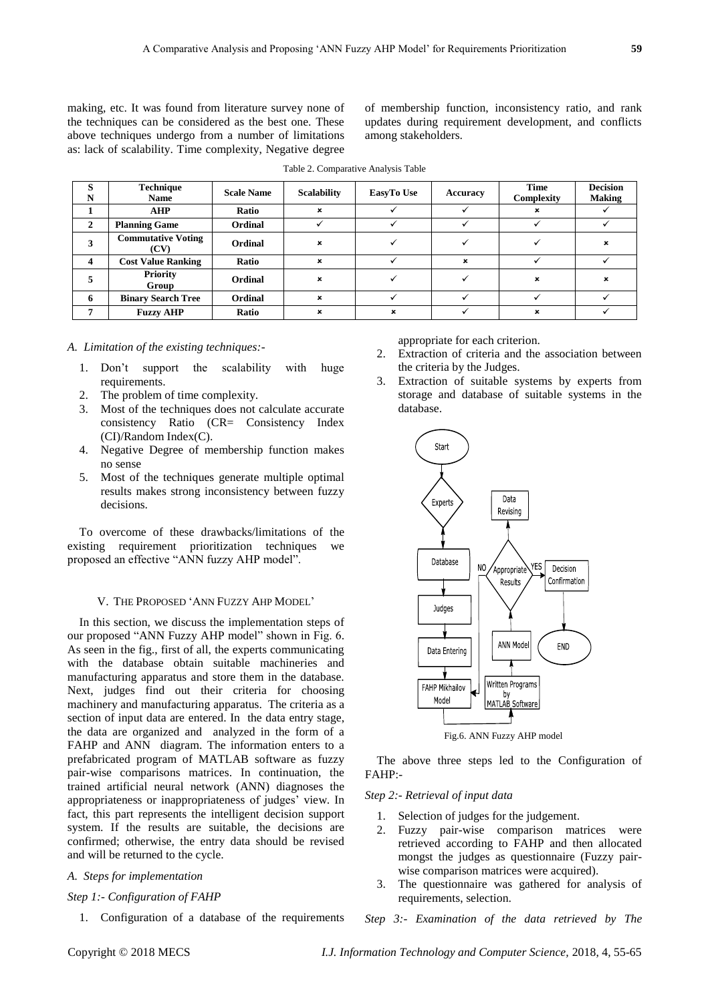making, etc. It was found from literature survey none of the techniques can be considered as the best one. These above techniques undergo from a number of limitations as: lack of scalability. Time complexity, Negative degree of membership function, inconsistency ratio, and rank updates during requirement development, and conflicts among stakeholders.

| S<br>N         | <b>Technique</b><br><b>Name</b>   | <b>Scale Name</b> | <b>Scalability</b>        | EasyTo Use | Accuracy | Time<br>Complexity | <b>Decision</b><br><b>Making</b> |
|----------------|-----------------------------------|-------------------|---------------------------|------------|----------|--------------------|----------------------------------|
|                | <b>AHP</b>                        | Ratio             | $\boldsymbol{\mathsf{x}}$ |            |          |                    |                                  |
| $\overline{2}$ | <b>Planning Game</b>              | Ordinal           |                           |            |          |                    |                                  |
| 3              | <b>Commutative Voting</b><br>(CV) | Ordinal           | $\boldsymbol{\mathsf{x}}$ |            |          |                    | ×                                |
| 4              | <b>Cost Value Ranking</b>         | Ratio             | $\mathbf x$               |            | ×        |                    |                                  |
|                | <b>Priority</b><br>Group          | Ordinal           | $\boldsymbol{\mathsf{x}}$ |            |          | ×                  | ×                                |
| 6              | <b>Binary Search Tree</b>         | Ordinal           | $\boldsymbol{\mathsf{x}}$ |            |          |                    |                                  |
|                | <b>Fuzzy AHP</b>                  | Ratio             | $\mathbf{x}$              | ×          |          |                    |                                  |

Table 2. Comparative Analysis Table

#### *A. Limitation of the existing techniques:-*

- 1. Don't support the scalability with huge requirements.
- 2. The problem of time complexity.
- 3. Most of the techniques does not calculate accurate consistency Ratio (CR= Consistency Index (CI)/Random Index(C).
- 4. Negative Degree of membership function makes no sense
- 5. Most of the techniques generate multiple optimal results makes strong inconsistency between fuzzy decisions.

To overcome of these drawbacks/limitations of the existing requirement prioritization techniques we proposed an effective "ANN fuzzy AHP model".

### V. THE PROPOSED 'ANN FUZZY AHP MODEL'

In this section, we discuss the implementation steps of our proposed "ANN Fuzzy AHP model" shown in Fig. 6. As seen in the fig., first of all, the experts communicating with the database obtain suitable machineries and manufacturing apparatus and store them in the database. Next, judges find out their criteria for choosing machinery and manufacturing apparatus. The criteria as a section of input data are entered. In the data entry stage, the data are organized and analyzed in the form of a FAHP and ANN diagram. The information enters to a prefabricated program of MATLAB software as fuzzy pair-wise comparisons matrices. In continuation, the trained artificial neural network (ANN) diagnoses the appropriateness or inappropriateness of judges' view. In fact, this part represents the intelligent decision support system. If the results are suitable, the decisions are confirmed; otherwise, the entry data should be revised and will be returned to the cycle.

#### *A. Steps for implementation*

## *Step 1:- Configuration of FAHP*

1. Configuration of a database of the requirements

appropriate for each criterion.

- 2. Extraction of criteria and the association between the criteria by the Judges.
- 3. Extraction of suitable systems by experts from storage and database of suitable systems in the database.



Fig.6. ANN Fuzzy AHP model

The above three steps led to the Configuration of FAHP:-

## *Step 2:- Retrieval of input data*

- 1. Selection of judges for the judgement.
- 2. Fuzzy pair-wise comparison matrices were retrieved according to FAHP and then allocated mongst the judges as questionnaire (Fuzzy pairwise comparison matrices were acquired).
- 3. The questionnaire was gathered for analysis of requirements, selection.

*Step 3:- Examination of the data retrieved by The*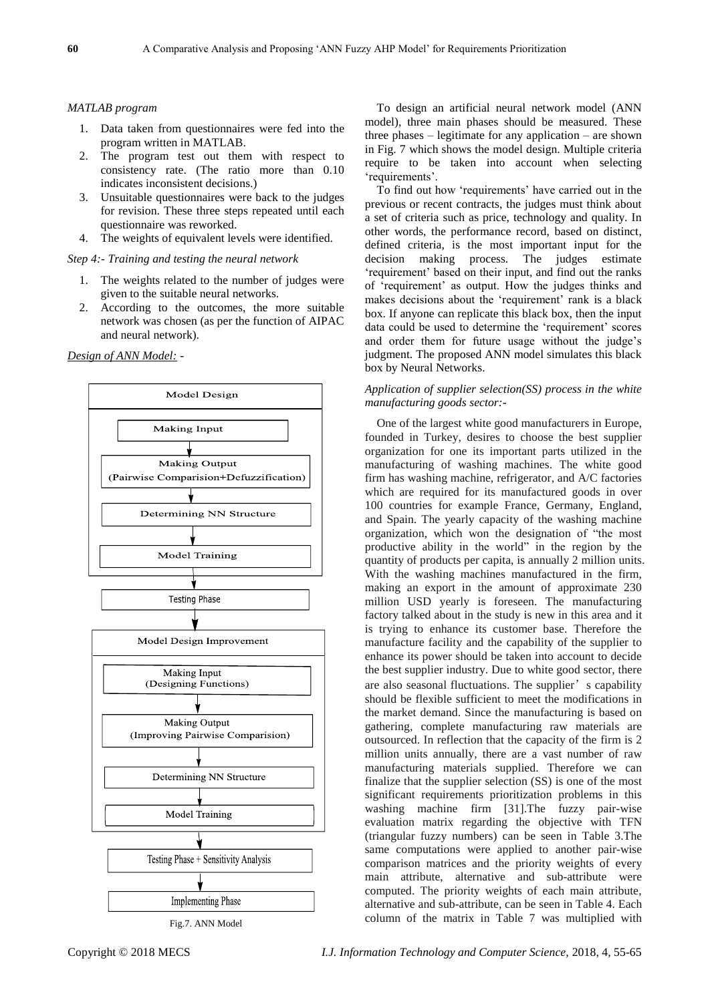#### *MATLAB program*

- 1. Data taken from questionnaires were fed into the program written in MATLAB.
- 2. The program test out them with respect to consistency rate. (The ratio more than 0.10 indicates inconsistent decisions.)
- 3. Unsuitable questionnaires were back to the judges for revision. These three steps repeated until each questionnaire was reworked.
- 4. The weights of equivalent levels were identified.

*Step 4:- Training and testing the neural network*

- 1. The weights related to the number of judges were given to the suitable neural networks.
- 2. According to the outcomes, the more suitable network was chosen (as per the function of AIPAC and neural network).

*Design of ANN Model: -*





To design an artificial neural network model (ANN model), three main phases should be measured. These three phases – legitimate for any application – are shown in Fig. 7 which shows the model design. Multiple criteria require to be taken into account when selecting 'requirements'.

To find out how 'requirements' have carried out in the previous or recent contracts, the judges must think about a set of criteria such as price, technology and quality. In other words, the performance record, based on distinct, defined criteria, is the most important input for the decision making process. The judges estimate 'requirement' based on their input, and find out the ranks of 'requirement' as output. How the judges thinks and makes decisions about the 'requirement' rank is a black box. If anyone can replicate this black box, then the input data could be used to determine the 'requirement' scores and order them for future usage without the judge's judgment. The proposed ANN model simulates this black box by Neural Networks.

## *Application of supplier selection(SS) process in the white manufacturing goods sector:-*

One of the largest white good manufacturers in Europe, founded in Turkey, desires to choose the best supplier organization for one its important parts utilized in the manufacturing of washing machines. The white good firm has washing machine, refrigerator, and A/C factories which are required for its manufactured goods in over 100 countries for example France, Germany, England, and Spain. The yearly capacity of the washing machine organization, which won the designation of "the most productive ability in the world" in the region by the quantity of products per capita, is annually 2 million units. With the washing machines manufactured in the firm, making an export in the amount of approximate 230 million USD yearly is foreseen. The manufacturing factory talked about in the study is new in this area and it is trying to enhance its customer base. Therefore the manufacture facility and the capability of the supplier to enhance its power should be taken into account to decide the best supplier industry. Due to white good sector, there are also seasonal fluctuations. The supplier's capability should be flexible sufficient to meet the modifications in the market demand. Since the manufacturing is based on gathering, complete manufacturing raw materials are outsourced. In reflection that the capacity of the firm is 2 million units annually, there are a vast number of raw manufacturing materials supplied. Therefore we can finalize that the supplier selection (SS) is one of the most significant requirements prioritization problems in this washing machine firm [31].The fuzzy pair-wise evaluation matrix regarding the objective with TFN (triangular fuzzy numbers) can be seen in Table 3.The same computations were applied to another pair-wise comparison matrices and the priority weights of every main attribute, alternative and sub-attribute were computed. The priority weights of each main attribute, alternative and sub-attribute, can be seen in Table 4. Each column of the matrix in Table 7 was multiplied with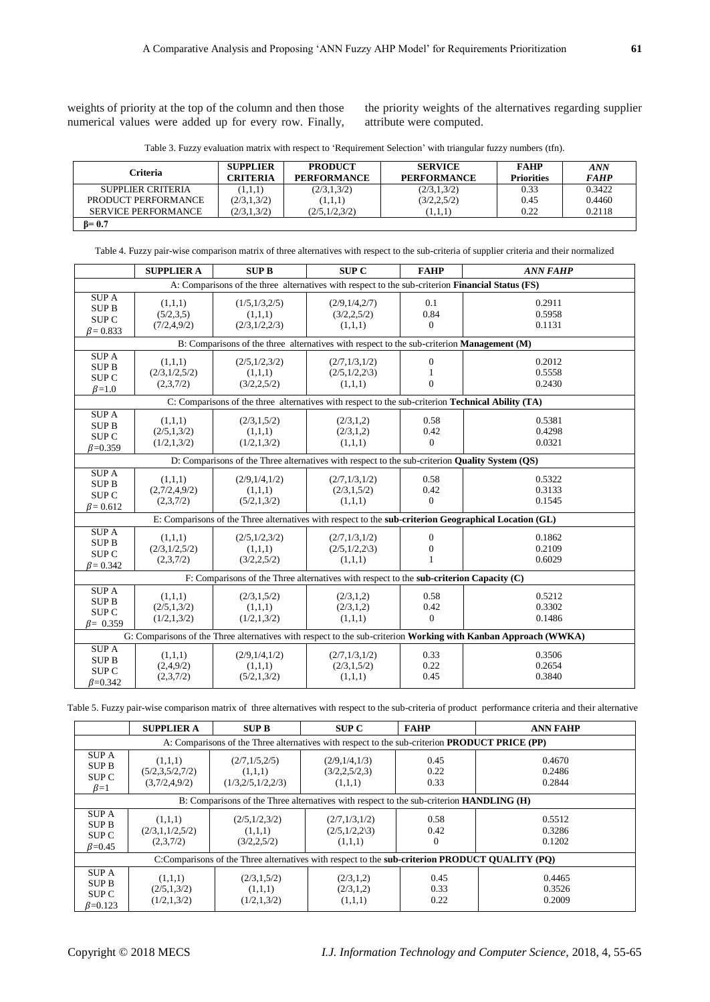weights of priority at the top of the column and then those numerical values were added up for every row. Finally, the priority weights of the alternatives regarding supplier attribute were computed.

| Table 3. Fuzzy evaluation matrix with respect to 'Requirement Selection' with triangular fuzzy numbers (tfn). |  |  |  |  |  |
|---------------------------------------------------------------------------------------------------------------|--|--|--|--|--|
|---------------------------------------------------------------------------------------------------------------|--|--|--|--|--|

| Criteria                   | <b>SUPPLIER</b><br>CRITERIA | <b>PRODUCT</b><br><b>PERFORMANCE</b> | <b>SERVICE</b><br><b>PERFORMANCE</b> | <b>FAHP</b><br><b>Priorities</b> | ${\it ANN}$<br><i>FAHP</i> |
|----------------------------|-----------------------------|--------------------------------------|--------------------------------------|----------------------------------|----------------------------|
| SUPPLIER CRITERIA          | (1,1,1)                     | (2/3, 1, 3/2)                        | (2/3,1,3/2)                          | 0.33                             | 0.3422                     |
| PRODUCT PERFORMANCE        | (2/3,1,3/2)                 | (1,1,1)                              | (3/2, 2, 5/2)                        | 0.45                             | 0.4460                     |
| <b>SERVICE PERFORMANCE</b> | (2/3,1,3/2)                 | (2/5,1/2,3/2)                        | (1,1,1)                              | 0.22                             | 0.2118                     |
| $B = 0.7$                  |                             |                                      |                                      |                                  |                            |

Table 4. Fuzzy pair-wise comparison matrix of three alternatives with respect to the sub-criteria of supplier criteria and their normalized

|                                                                                                | <b>SUPPLIER A</b>                                                                                | <b>SUP B</b>                                                                                             | <b>SUP C</b>                                      | <b>FAHP</b>                                  | <b>ANN FAHP</b>                                                                                                |  |  |  |  |  |
|------------------------------------------------------------------------------------------------|--------------------------------------------------------------------------------------------------|----------------------------------------------------------------------------------------------------------|---------------------------------------------------|----------------------------------------------|----------------------------------------------------------------------------------------------------------------|--|--|--|--|--|
|                                                                                                | A: Comparisons of the three alternatives with respect to the sub-criterion Financial Status (FS) |                                                                                                          |                                                   |                                              |                                                                                                                |  |  |  |  |  |
| <b>SUPA</b><br><b>SUPB</b><br>SUP <sub>C</sub><br>$\beta = 0.833$                              | (1,1,1)<br>(5/2,3,5)<br>(7/2, 4, 9/2)                                                            | (1/5,1/3,2/5)<br>(1,1,1)<br>(2/3,1/2,2/3)                                                                | (2/9,1/4,2/7)<br>(3/2, 2, 5/2)<br>(1,1,1)         | 0.1<br>0.84<br>$\overline{0}$                | 0.2911<br>0.5958<br>0.1131                                                                                     |  |  |  |  |  |
|                                                                                                | B: Comparisons of the three alternatives with respect to the sub-criterion Management (M)        |                                                                                                          |                                                   |                                              |                                                                                                                |  |  |  |  |  |
| SUPA<br><b>SUPB</b><br>SUP <sub>C</sub><br>$\beta=1.0$                                         | (1,1,1)<br>(2/3, 1/2, 5/2)<br>(2,3,7/2)                                                          | (2/5,1/2,3/2)<br>(1,1,1)<br>(3/2, 2, 5/2)                                                                | (2/7,1/3,1/2)<br>$(2/5,1/2,2\sqrt{3})$<br>(1,1,1) | $\Omega$<br>1<br>$\theta$                    | 0.2012<br>0.5558<br>0.2430                                                                                     |  |  |  |  |  |
|                                                                                                |                                                                                                  | C: Comparisons of the three alternatives with respect to the sub-criterion <b>Technical Ability (TA)</b> |                                                   |                                              |                                                                                                                |  |  |  |  |  |
| <b>SUPA</b><br><b>SUPB</b><br>SUP <sub>C</sub><br>$\beta = 0.359$                              | (1,1,1)<br>(2/5, 1, 3/2)<br>(1/2,1,3/2)                                                          | (2/3,1,5/2)<br>(1,1,1)<br>(1/2, 1, 3/2)                                                                  | (2/3,1,2)<br>(2/3,1,2)<br>(1,1,1)                 | 0.58<br>0.42<br>$\Omega$                     | 0.5381<br>0.4298<br>0.0321                                                                                     |  |  |  |  |  |
| D: Comparisons of the Three alternatives with respect to the sub-criterion Quality System (QS) |                                                                                                  |                                                                                                          |                                                   |                                              |                                                                                                                |  |  |  |  |  |
| <b>SUPA</b><br><b>SUPB</b><br>SUP <sub>C</sub><br>$\beta = 0.612$                              | (1,1,1)<br>(2,7/2,4,9/2)<br>(2,3,7/2)                                                            | (2/9,1/4,1/2)<br>(1,1,1)<br>(5/2,1,3/2)                                                                  | (2/7,1/3,1/2)<br>(2/3, 1, 5/2)<br>(1,1,1)         | 0.58<br>0.42<br>$\overline{0}$               | 0.5322<br>0.3133<br>0.1545                                                                                     |  |  |  |  |  |
|                                                                                                |                                                                                                  |                                                                                                          |                                                   |                                              | E: Comparisons of the Three alternatives with respect to the sub-criterion Geographical Location (GL)          |  |  |  |  |  |
| <b>SUPA</b><br><b>SUPB</b><br>SUP <sub>C</sub><br>$\beta = 0.342$                              | (1,1,1)<br>(2/3, 1/2, 5/2)<br>(2,3,7/2)                                                          | (2/5,1/2,3/2)<br>(1,1,1)<br>(3/2, 2, 5/2)                                                                | (2/7,1/3,1/2)<br>$(2/5,1/2,2\sqrt{3})$<br>(1,1,1) | $\mathbf{0}$<br>$\mathbf{0}$<br>$\mathbf{1}$ | 0.1862<br>0.2109<br>0.6029                                                                                     |  |  |  |  |  |
|                                                                                                |                                                                                                  | F: Comparisons of the Three alternatives with respect to the sub-criterion Capacity (C)                  |                                                   |                                              |                                                                                                                |  |  |  |  |  |
| <b>SUPA</b><br><b>SUPB</b><br>SUP <sub>C</sub><br>$\beta = 0.359$                              | (1,1,1)<br>(2/5, 1, 3/2)<br>(1/2,1,3/2)                                                          | (2/3,1,5/2)<br>(1,1,1)<br>(1/2, 1, 3/2)                                                                  | (2/3,1,2)<br>(2/3,1,2)<br>(1,1,1)                 | 0.58<br>0.42<br>$\overline{0}$               | 0.5212<br>0.3302<br>0.1486                                                                                     |  |  |  |  |  |
|                                                                                                |                                                                                                  |                                                                                                          |                                                   |                                              | G: Comparisons of the Three alternatives with respect to the sub-criterion Working with Kanban Approach (WWKA) |  |  |  |  |  |
| <b>SUPA</b><br><b>SUPB</b><br>SUP <sub>C</sub><br>$\beta = 0.342$                              | (1,1,1)<br>(2,4,9/2)<br>(2,3,7/2)                                                                | (2/9,1/4,1/2)<br>(1,1,1)<br>(5/2, 1, 3/2)                                                                | (2/7,1/3,1/2)<br>(2/3, 1, 5/2)<br>(1,1,1)         | 0.33<br>0.22<br>0.45                         | 0.3506<br>0.2654<br>0.3840                                                                                     |  |  |  |  |  |

Table 5. Fuzzy pair-wise comparison matrix of three alternatives with respect to the sub-criteria of product performance criteria and their alternative

|                                                                                                      | <b>SUPPLIER A</b>                                                                                     | <b>SUP B</b>                                     | <b>SUP C</b>                                      | <b>FAHP</b>          | <b>ANN FAHP</b>            |  |  |  |  |
|------------------------------------------------------------------------------------------------------|-------------------------------------------------------------------------------------------------------|--------------------------------------------------|---------------------------------------------------|----------------------|----------------------------|--|--|--|--|
| A: Comparisons of the Three alternatives with respect to the sub-criterion <b>PRODUCT PRICE</b> (PP) |                                                                                                       |                                                  |                                                   |                      |                            |  |  |  |  |
| <b>SUPA</b><br><b>SUPB</b><br>SUP C<br>$\beta=1$                                                     | (1,1,1)<br>(5/2,3,5/2,7/2)<br>(3,7/2,4,9/2)                                                           | (2/7,1/5,2/5)<br>(1,1,1)<br>(1/3, 2/5, 1/2, 2/3) | (2/9,1/4,1/3)<br>(3/2, 2, 5/2, 3)<br>(1,1,1)      | 0.45<br>0.22<br>0.33 | 0.4670<br>0.2486<br>0.2844 |  |  |  |  |
| B: Comparisons of the Three alternatives with respect to the sub-criterion <b>HANDLING</b> (H)       |                                                                                                       |                                                  |                                                   |                      |                            |  |  |  |  |
| <b>SUPA</b><br><b>SUPB</b><br>SUP <sub>C</sub><br>$\beta$ =0.45                                      | (1,1,1)<br>(2/3,1,1/2,5/2)<br>(2,3,7/2)                                                               | (2/5,1/2,3/2)<br>(1,1,1)<br>(3/2, 2, 5/2)        | (2/7,1/3,1/2)<br>$(2/5,1/2,2\sqrt{3})$<br>(1,1,1) | 0.58<br>0.42<br>0    | 0.5512<br>0.3286<br>0.1202 |  |  |  |  |
|                                                                                                      | C:Comparisons of the Three alternatives with respect to the <b>sub-criterion PRODUCT QUALITY (PQ)</b> |                                                  |                                                   |                      |                            |  |  |  |  |
| <b>SUPA</b><br><b>SUP B</b><br>SUP C<br>$B=0.123$                                                    | (1,1,1)<br>(2/5, 1, 3/2)<br>(1/2, 1, 3/2)                                                             | (2/3,1,5/2)<br>(1,1,1)<br>(1/2, 1, 3/2)          | (2/3,1,2)<br>(2/3,1,2)<br>(1,1,1)                 | 0.45<br>0.33<br>0.22 | 0.4465<br>0.3526<br>0.2009 |  |  |  |  |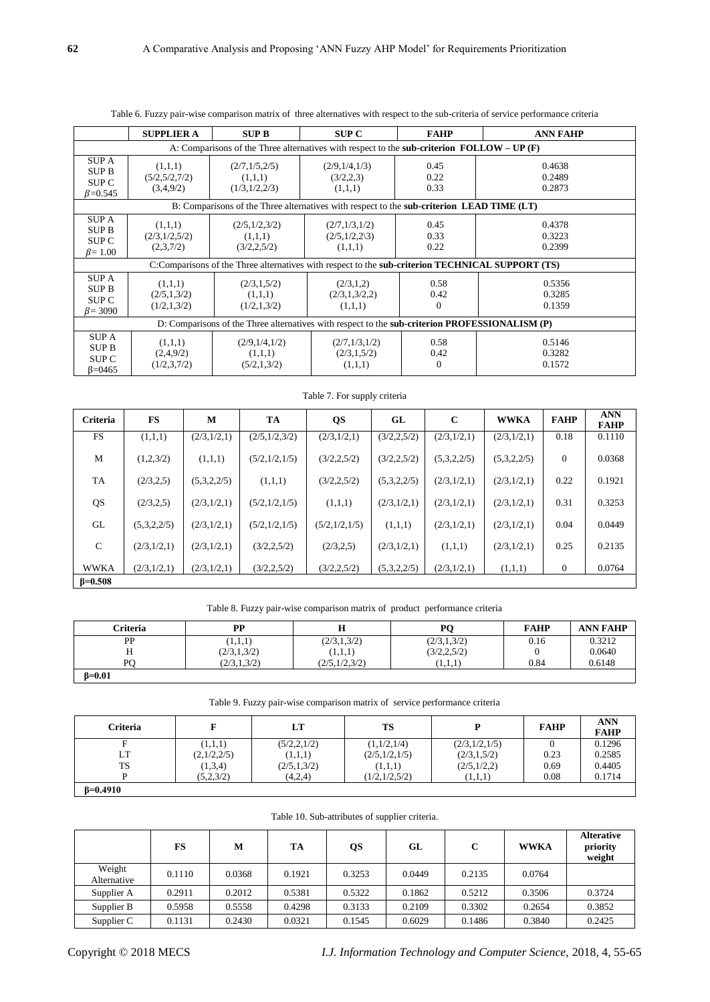|                                                                                                  | <b>SUPPLIER A</b>                                                                                 | <b>SUP B</b>                                                                                     | <b>SUP C</b>                                      | <b>FAHP</b>              | <b>ANN FAHP</b>            |  |  |  |  |  |
|--------------------------------------------------------------------------------------------------|---------------------------------------------------------------------------------------------------|--------------------------------------------------------------------------------------------------|---------------------------------------------------|--------------------------|----------------------------|--|--|--|--|--|
|                                                                                                  | A: Comparisons of the Three alternatives with respect to the <b>sub-criterion FOLLOW</b> – UP (F) |                                                                                                  |                                                   |                          |                            |  |  |  |  |  |
| <b>SUPA</b><br><b>SUP B</b><br><b>SUP C</b><br>$B = 0.545$                                       | (1,1,1)<br>(5/2, 5/2, 7/2)<br>(3,4,9/2)                                                           | (2/7,1/5,2/5)<br>(1,1,1)<br>(1/3, 1/2, 2/3)                                                      | (2/9,1/4,1/3)<br>(3/2,2,3)<br>(1,1,1)             | 0.45<br>0.22<br>0.33     | 0.4638<br>0.2489<br>0.2873 |  |  |  |  |  |
| B: Comparisons of the Three alternatives with respect to the <b>sub-criterion LEAD TIME</b> (LT) |                                                                                                   |                                                                                                  |                                                   |                          |                            |  |  |  |  |  |
| <b>SUPA</b><br>SUP B<br>SUP <sub>C</sub><br>$\beta$ = 1.00                                       | (1,1,1)<br>(2/3,1/2,5/2)<br>(2,3,7/2)                                                             | (2/5,1/2,3/2)<br>(1,1,1)<br>(3/2, 2, 5/2)                                                        | (2/7,1/3,1/2)<br>$(2/5,1/2,2\sqrt{3})$<br>(1,1,1) | 0.45<br>0.33<br>0.22     | 0.4378<br>0.3223<br>0.2399 |  |  |  |  |  |
|                                                                                                  |                                                                                                   | C:Comparisons of the Three alternatives with respect to the sub-criterion TECHNICAL SUPPORT (TS) |                                                   |                          |                            |  |  |  |  |  |
| <b>SUPA</b><br>SUP B<br>SUP C<br>$\beta = 3090$                                                  | (1,1,1)<br>(2/5,1,3/2)<br>(1/2,1,3/2)                                                             | (2/3,1,5/2)<br>(1,1,1)<br>(1/2,1,3/2)                                                            | (2/3,1,2)<br>(2/3,1,3/2,2)<br>(1,1,1)             | 0.58<br>0.42<br>$\Omega$ | 0.5356<br>0.3285<br>0.1359 |  |  |  |  |  |
|                                                                                                  | D: Comparisons of the Three alternatives with respect to the sub-criterion PROFESSIONALISM (P)    |                                                                                                  |                                                   |                          |                            |  |  |  |  |  |
| <b>SUPA</b><br><b>SUP B</b><br>SUP <sub>C</sub><br>$\beta = 0.465$                               | (1,1,1)<br>(2,4,9/2)<br>(1/2,3,7/2)                                                               | (2/9,1/4,1/2)<br>(1,1,1)<br>(5/2,1,3/2)                                                          | (2/7,1/3,1/2)<br>(2/3,1,5/2)<br>(1,1,1)           | 0.58<br>0.42<br>$\theta$ | 0.5146<br>0.3282<br>0.1572 |  |  |  |  |  |

|  | Table 6. Fuzzy pair-wise comparison matrix of three alternatives with respect to the sub-criteria of service performance criteria |  |
|--|-----------------------------------------------------------------------------------------------------------------------------------|--|
|--|-----------------------------------------------------------------------------------------------------------------------------------|--|

| Criteria     | <b>FS</b>   | М           | TA              | <b>QS</b>       | GL            | $\mathbf C$ | <b>WWKA</b> | <b>FAHP</b>  | <b>ANN</b><br><b>FAHP</b> |
|--------------|-------------|-------------|-----------------|-----------------|---------------|-------------|-------------|--------------|---------------------------|
| <b>FS</b>    | (1,1,1)     | (2/3,1/2,1) | (2/5,1/2,3/2)   | (2/3,1/2,1)     | (3/2, 2, 5/2) | (2/3,1/2,1) | (2/3,1/2,1) | 0.18         | 0.1110                    |
| M            | (1,2,3/2)   | (1,1,1)     | (5/2, 1/2, 1/5) | (3/2, 2, 5/2)   | (3/2, 2, 5/2) | (5,3,2,2/5) | (5,3,2,2/5) | $\Omega$     | 0.0368                    |
| TA           | (2/3,2,5)   | (5,3,2,2/5) | (1,1,1)         | (3/2, 2, 5/2)   | (5,3,2,2/5)   | (2/3,1/2,1) | (2/3,1/2,1) | 0.22         | 0.1921                    |
| QS           | (2/3, 2, 5) | (2/3,1/2,1) | (5/2,1/2,1/5)   | (1,1,1)         | (2/3,1/2,1)   | (2/3,1/2,1) | (2/3,1/2,1) | 0.31         | 0.3253                    |
| GL           | (5,3,2,2/5) | (2/3,1/2,1) | (5/2, 1/2, 1/5) | (5/2, 1/2, 1/5) | (1,1,1)       | (2/3,1/2,1) | (2/3,1/2,1) | 0.04         | 0.0449                    |
| $\mathsf{C}$ | (2/3,1/2,1) | (2/3,1/2,1) | (3/2, 2, 5/2)   | (2/3,2,5)       | (2/3,1/2,1)   | (1,1,1)     | (2/3,1/2,1) | 0.25         | 0.2135                    |
| <b>WWKA</b>  | (2/3,1/2,1) | (2/3,1/2,1) | (3/2, 2, 5/2)   | (3/2, 2, 5/2)   | (5,3,2,2/5)   | (2/3,1/2,1) | (1,1,1)     | $\mathbf{0}$ | 0.0764                    |
| $B=0.508$    |             |             |                 |                 |               |             |             |              |                           |

Table 7. For supply criteria

Table 8. Fuzzy pair-wise comparison matrix of product performance criteria

| <b>Criteria</b> | PP            | н               | PО            | <b>FAHP</b> | <b>ANN FAHP</b> |
|-----------------|---------------|-----------------|---------------|-------------|-----------------|
| PP              | (1,1,1)       | (2/3,1,3/2)     | (2/3,1,3/2)   | 0.16        | 0.3212          |
|                 | (2/3,1,3/2)   | (1,1,1)         | (3/2, 2, 5/2) |             | 0.0640          |
| DΩ              | (2/3, 1, 3/2) | (2/5, 1/2, 3/2) | (1,1,1)       | 0.84        | 0.6148          |
| $\beta = 0.01$  |               |                 |               |             |                 |

Table 9. Fuzzy pair-wise comparison matrix of service performance criteria

| <b>Criteria</b> | F           | LT            | <b>TS</b>     | D             | <b>FAHP</b> | <b>ANN</b><br><b>FAHP</b> |
|-----------------|-------------|---------------|---------------|---------------|-------------|---------------------------|
|                 | (1,1,1)     | (5/2, 2, 1/2) | (1,1/2,1/4)   | (2/3,1/2,1/5) |             | 0.1296                    |
| LT              | (2,1/2,2/5) | (1,1,1)       | (2/5,1/2,1/5) | (2/3,1,5/2)   | 0.23        | 0.2585                    |
| <b>TS</b>       | (1,3,4)     | (2/5,1,3/2)   | (1,1,1)       | (2/5,1/2,2)   | 0.69        | 0.4405                    |
|                 | (5,2,3/2)   | (4,2,4)       | (1/2,1/2,5/2) | (1,1,1)       | 0.08        | 0.1714                    |
| $B=0.4910$      |             |               |               |               |             |                           |

| Table 10. Sub-attributes of supplier criteria. |  |  |  |
|------------------------------------------------|--|--|--|
|------------------------------------------------|--|--|--|

|                       | FS     | М      | TA     | QS     | GL     | $\mathbf C$ | <b>WWKA</b> | <b>Alterative</b><br>priority<br>weight |
|-----------------------|--------|--------|--------|--------|--------|-------------|-------------|-----------------------------------------|
| Weight<br>Alternative | 0.1110 | 0.0368 | 0.1921 | 0.3253 | 0.0449 | 0.2135      | 0.0764      |                                         |
| Supplier A            | 0.2911 | 0.2012 | 0.5381 | 0.5322 | 0.1862 | 0.5212      | 0.3506      | 0.3724                                  |
| Supplier B            | 0.5958 | 0.5558 | 0.4298 | 0.3133 | 0.2109 | 0.3302      | 0.2654      | 0.3852                                  |
| Supplier C            | 0.1131 | 0.2430 | 0.0321 | 0.1545 | 0.6029 | 0.1486      | 0.3840      | 0.2425                                  |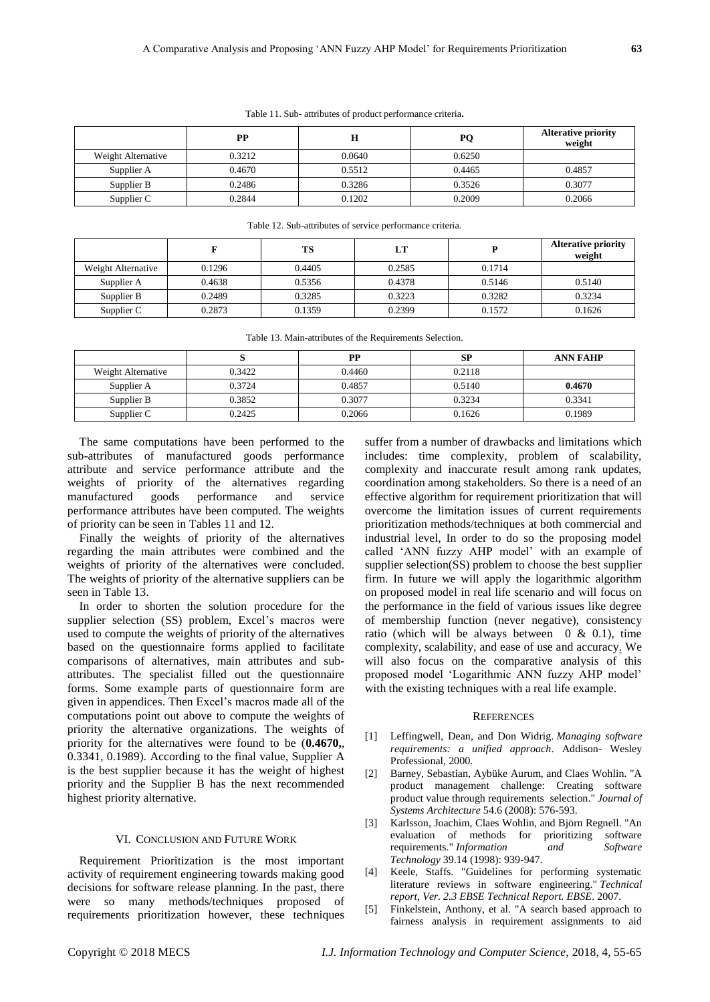|                    | PP     |        | PO     | <b>Alterative priority</b><br>weight |
|--------------------|--------|--------|--------|--------------------------------------|
| Weight Alternative | 0.3212 | 0.0640 | 0.6250 |                                      |
| Supplier A         | 0.4670 | 0.5512 | 0.4465 | 0.4857                               |
| Supplier B         | 0.2486 | 0.3286 | 0.3526 | 0.3077                               |
| Supplier C         | 0.2844 | 0.1202 | 0.2009 | 0.2066                               |

Table 11. Sub- attributes of product performance criteria**.**

| Table 12. Sub-attributes of service performance criteria. |        |        |        |        |                                      |  |
|-----------------------------------------------------------|--------|--------|--------|--------|--------------------------------------|--|
|                                                           | F      | TS     | LT     | p      | <b>Alterative priority</b><br>weight |  |
| Weight Alternative                                        | 0.1296 | 0.4405 | 0.2585 | 0.1714 |                                      |  |
| Supplier A                                                | 0.4638 | 0.5356 | 0.4378 | 0.5146 | 0.5140                               |  |
| Supplier B                                                | 0.2489 | 0.3285 | 0.3223 | 0.3282 | 0.3234                               |  |
| Supplier C                                                | 0.2873 | 0.1359 | 0.2399 | 0.1572 | 0.1626                               |  |

| Table 13. Main-attributes of the Requirements Selection. |  |  |
|----------------------------------------------------------|--|--|
|----------------------------------------------------------|--|--|

|                    |        | DР     | <b>SP</b> | <b>ANN FAHP</b> |
|--------------------|--------|--------|-----------|-----------------|
| Weight Alternative | 0.3422 | 0.4460 | 0.2118    |                 |
| Supplier A         | 0.3724 | 0.4857 | 0.5140    | 0.4670          |
| Supplier B         | 0.3852 | 0.3077 | 0.3234    | 0.3341          |
| Supplier C         | 0.2425 | 0.2066 | 0.1626    | 0.1989          |

The same computations have been performed to the sub-attributes of manufactured goods performance attribute and service performance attribute and the weights of priority of the alternatives regarding manufactured goods performance and service performance attributes have been computed. The weights of priority can be seen in Tables 11 and 12.

Finally the weights of priority of the alternatives regarding the main attributes were combined and the weights of priority of the alternatives were concluded. The weights of priority of the alternative suppliers can be seen in Table 13.

In order to shorten the solution procedure for the supplier selection (SS) problem, Excel's macros were used to compute the weights of priority of the alternatives based on the questionnaire forms applied to facilitate comparisons of alternatives, main attributes and subattributes. The specialist filled out the questionnaire forms. Some example parts of questionnaire form are given in appendices. Then Excel's macros made all of the computations point out above to compute the weights of priority the alternative organizations. The weights of priority for the alternatives were found to be (**0.4670,**, 0.3341, 0.1989). According to the final value, Supplier A is the best supplier because it has the weight of highest priority and the Supplier B has the next recommended highest priority alternative.

## VI. CONCLUSION AND FUTURE WORK

Requirement Prioritization is the most important activity of requirement engineering towards making good decisions for software release planning. In the past, there were so many methods/techniques proposed of requirements prioritization however, these techniques

suffer from a number of drawbacks and limitations which includes: time complexity, problem of scalability, complexity and inaccurate result among rank updates, coordination among stakeholders. So there is a need of an effective algorithm for requirement prioritization that will overcome the limitation issues of current requirements prioritization methods/techniques at both commercial and industrial level, In order to do so the proposing model called 'ANN fuzzy AHP model' with an example of supplier selection(SS) problem to choose the best supplier firm. In future we will apply the logarithmic algorithm on proposed model in real life scenario and will focus on the performance in the field of various issues like degree of membership function (never negative), consistency ratio (which will be always between  $0 \& 0.1$ ), time complexity, scalability, and ease of use and accuracy. We will also focus on the comparative analysis of this proposed model 'Logarithmic ANN fuzzy AHP model' with the existing techniques with a real life example.

#### **REFERENCES**

- [1] Leffingwell, Dean, and Don Widrig. *Managing software requirements: a unified approach*. Addison- Wesley Professional, 2000.
- [2] Barney, Sebastian, Aybüke Aurum, and Claes Wohlin. "A product management challenge: Creating software product value through requirements selection." *Journal of Systems Architecture* 54.6 (2008): 576-593.
- [3] Karlsson, Joachim, Claes Wohlin, and Björn Regnell. "An evaluation of methods for prioritizing software requirements." *Information and Software Technology* 39.14 (1998): 939-947.
- [4] Keele, Staffs. "Guidelines for performing systematic literature reviews in software engineering." *Technical report, Ver. 2.3 EBSE Technical Report. EBSE*. 2007.
- [5] Finkelstein, Anthony, et al. "A search based approach to fairness analysis in requirement assignments to aid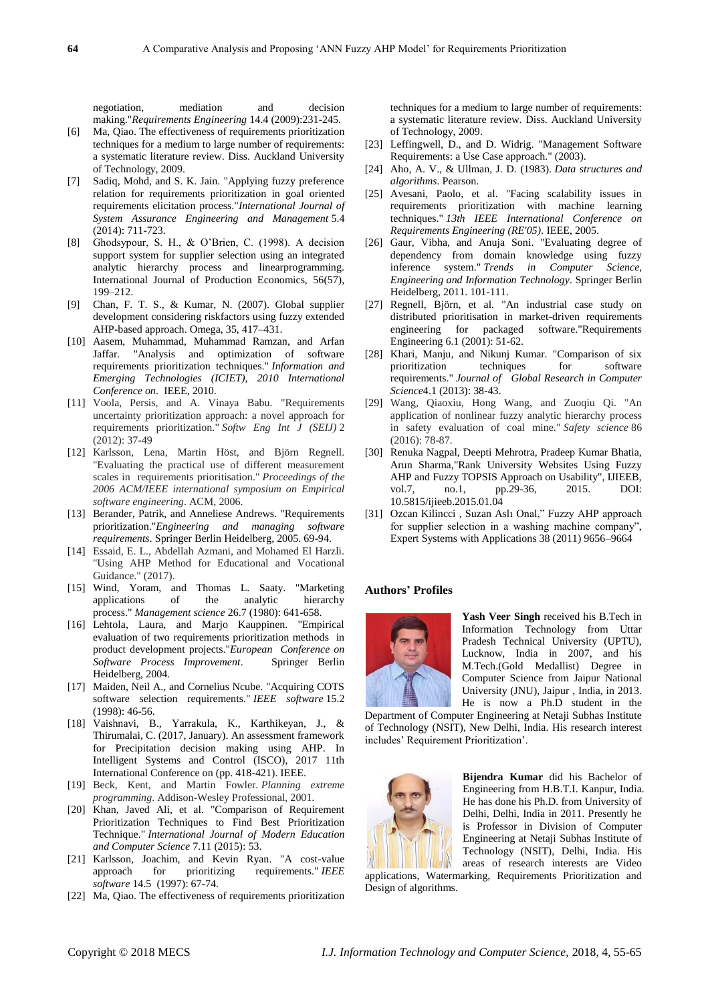negotiation, mediation and decision making."*Requirements Engineering* 14.4 (2009):231-245.

- [6] Ma, Qiao. The effectiveness of requirements prioritization techniques for a medium to large number of requirements: a systematic literature review. Diss. Auckland University of Technology, 2009.
- [7] Sadiq, Mohd, and S. K. Jain. "Applying fuzzy preference relation for requirements prioritization in goal oriented requirements elicitation process."*International Journal of System Assurance Engineering and Management* 5.4 (2014): 711-723.
- [8] Ghodsypour, S. H., & O'Brien, C. (1998). A decision support system for supplier selection using an integrated analytic hierarchy process and linearprogramming. International Journal of Production Economics, 56(57), 199–212.
- [9] Chan, F. T. S., & Kumar, N. (2007). Global supplier development considering riskfactors using fuzzy extended AHP-based approach. Omega, 35, 417–431.
- [10] Aasem, Muhammad, Muhammad Ramzan, and Arfan Jaffar. "Analysis and optimization of software requirements prioritization techniques." *Information and Emerging Technologies (ICIET), 2010 International Conference on*. IEEE, 2010.
- [11] Voola, Persis, and A. Vinaya Babu. "Requirements uncertainty prioritization approach: a novel approach for requirements prioritization." *Softw Eng Int J (SEIJ)* 2 (2012): 37-49
- [12] Karlsson, Lena, Martin Höst, and Björn Regnell. "Evaluating the practical use of different measurement scales in requirements prioritisation." *Proceedings of the 2006 ACM/IEEE international symposium on Empirical software engineering*. ACM, 2006.
- [13] Berander, Patrik, and Anneliese Andrews. "Requirements prioritization."*Engineering and managing software requirements*. Springer Berlin Heidelberg, 2005. 69-94.
- [14] Essaid, E. L., Abdellah Azmani, and Mohamed El Harzli. "Using AHP Method for Educational and Vocational Guidance." (2017).
- [15] Wind, Yoram, and Thomas L. Saaty. "Marketing applications of the analytic hierarchy process." *Management science* 26.7 (1980): 641-658.
- [16] Lehtola, Laura, and Marjo Kauppinen. "Empirical evaluation of two requirements prioritization methods in product development projects."*European Conference on Software Process Improvement*. Springer Berlin Heidelberg, 2004.
- [17] Maiden, Neil A., and Cornelius Ncube. "Acquiring COTS software selection requirements." *IEEE software* 15.2 (1998): 46-56.
- [18] Vaishnavi, B., Yarrakula, K., Karthikeyan, J., & Thirumalai, C. (2017, January). An assessment framework for Precipitation decision making using AHP. In Intelligent Systems and Control (ISCO), 2017 11th International Conference on (pp. 418-421). IEEE.
- [19] Beck, Kent, and Martin Fowler. *Planning extreme programming*. Addison-Wesley Professional, 2001.
- [20] Khan, Javed Ali, et al. "Comparison of Requirement Prioritization Techniques to Find Best Prioritization Technique." *International Journal of Modern Education and Computer Science* 7.11 (2015): 53.
- [21] Karlsson, Joachim, and Kevin Ryan. "A cost-value approach for prioritizing requirements." *IEEE software* 14.5 (1997): 67-74.
- [22] Ma, Qiao. The effectiveness of requirements prioritization

techniques for a medium to large number of requirements: a systematic literature review. Diss. Auckland University of Technology, 2009.

- [23] Leffingwell, D., and D. Widrig. "Management Software Requirements: a Use Case approach." (2003).
- [24] Aho, A. V., & Ullman, J. D. (1983). *Data structures and algorithms*. Pearson.
- [25] Avesani, Paolo, et al. "Facing scalability issues in requirements prioritization with machine learning techniques." *13th IEEE International Conference on Requirements Engineering (RE'05)*. IEEE, 2005.
- [26] Gaur, Vibha, and Anuja Soni. "Evaluating degree of dependency from domain knowledge using fuzzy inference system." *Trends in Computer Science, Engineering and Information Technology*. Springer Berlin Heidelberg, 2011. 101-111.
- [27] Regnell, Biörn, et al. "An industrial case study on distributed prioritisation in market-driven requirements engineering for packaged software."Requirements Engineering 6.1 (2001): 51-62.
- [28] Khari, Manju, and Nikunj Kumar. "Comparison of six prioritization techniques for software requirements." *Journal of Global Research in Computer Science*4.1 (2013): 38-43.
- [29] Wang, Qiaoxiu, Hong Wang, and Zuoqiu Qi. "An application of nonlinear fuzzy analytic hierarchy process in safety evaluation of coal mine." *Safety science* 86 (2016): 78-87.
- [30] Renuka Nagpal, Deepti Mehrotra, Pradeep Kumar Bhatia, Arun Sharma,"Rank University Websites Using Fuzzy AHP and Fuzzy TOPSIS Approach on Usability", IJIEEB, vol.7, no.1, pp.29-36, 2015. DOI: 10.5815/ijieeb.2015.01.04
- [31] Ozcan Kilincci , Suzan Aslı Onal," Fuzzy AHP approach for supplier selection in a washing machine company", Expert Systems with Applications 38 (2011) 9656–9664

#### **Authors' Profiles**



**Yash Veer Singh** received his B.Tech in Information Technology from Uttar Pradesh Technical University (UPTU), Lucknow, India in 2007, and his M.Tech.(Gold Medallist) Degree in Computer Science from Jaipur National University (JNU), Jaipur , India, in 2013. He is now a Ph.D student in the

Department of Computer Engineering at Netaji Subhas Institute of Technology (NSIT), New Delhi, India. His research interest includes' Requirement Prioritization'.



**Bijendra Kumar** did his Bachelor of Engineering from H.B.T.I. Kanpur, India. He has done his Ph.D. from University of Delhi, Delhi, India in 2011. Presently he is Professor in Division of Computer Engineering at Netaji Subhas Institute of Technology (NSIT), Delhi, India. His areas of research interests are Video

applications, Watermarking, Requirements Prioritization and Design of algorithms.